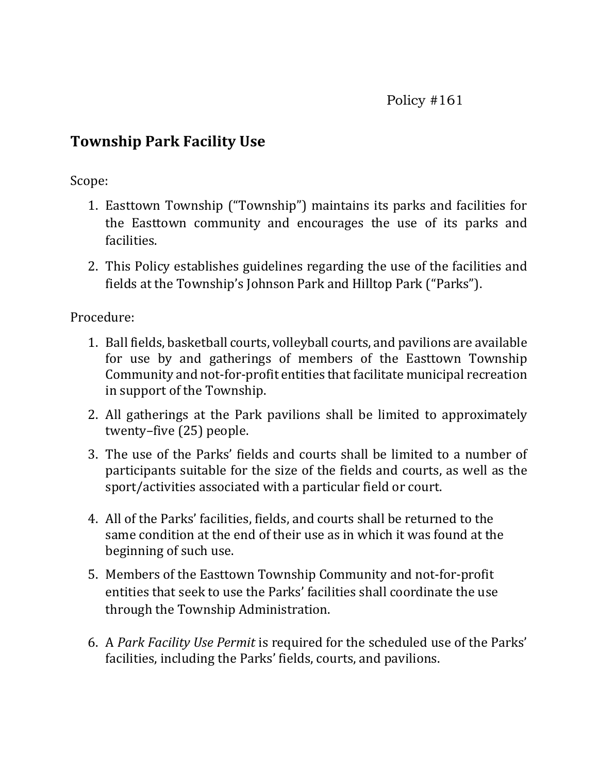## **Township Park Facility Use**

Scope:

- 1. Easttown Township ("Township") maintains its parks and facilities for the Easttown community and encourages the use of its parks and facilities.
- 2. This Policy establishes guidelines regarding the use of the facilities and fields at the Township's Johnson Park and Hilltop Park ("Parks").

Procedure:

- 1. Ball fields, basketball courts, volleyball courts, and pavilions are available for use by and gatherings of members of the Easttown Township Community and not-for-profit entities that facilitate municipal recreation in support of the Township.
- 2. All gatherings at the Park pavilions shall be limited to approximately twenty–five (25) people.
- 3. The use of the Parks' fields and courts shall be limited to a number of participants suitable for the size of the fields and courts, as well as the sport/activities associated with a particular field or court.
- 4. All of the Parks' facilities, fields, and courts shall be returned to the same condition at the end of their use as in which it was found at the beginning of such use.
- 5. Members of the Easttown Township Community and not-for-profit entities that seek to use the Parks' facilities shall coordinate the use through the Township Administration.
- 6. A *Park Facility Use Permit* is required for the scheduled use of the Parks' facilities, including the Parks' fields, courts, and pavilions.